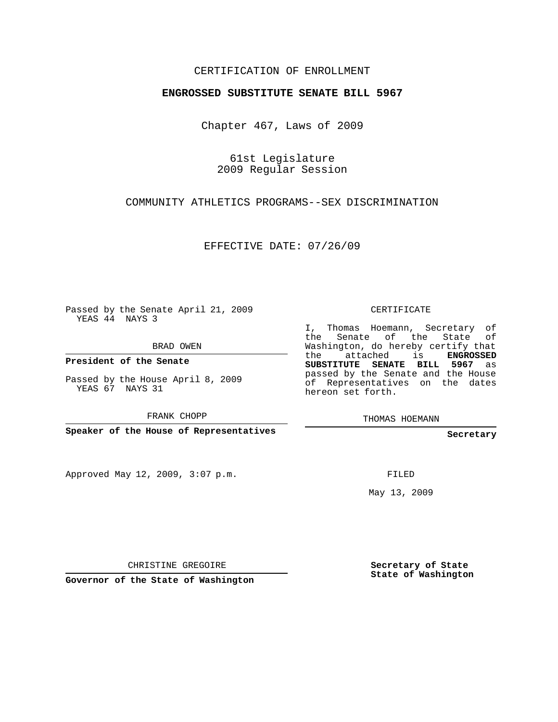## CERTIFICATION OF ENROLLMENT

## **ENGROSSED SUBSTITUTE SENATE BILL 5967**

Chapter 467, Laws of 2009

61st Legislature 2009 Regular Session

COMMUNITY ATHLETICS PROGRAMS--SEX DISCRIMINATION

EFFECTIVE DATE: 07/26/09

Passed by the Senate April 21, 2009 YEAS 44 NAYS 3

BRAD OWEN

**President of the Senate**

Passed by the House April 8, 2009 YEAS 67 NAYS 31

FRANK CHOPP

**Speaker of the House of Representatives**

Approved May 12, 2009, 3:07 p.m.

CERTIFICATE

I, Thomas Hoemann, Secretary of the Senate of the State of Washington, do hereby certify that the attached is **ENGROSSED SUBSTITUTE SENATE BILL 5967** as passed by the Senate and the House of Representatives on the dates hereon set forth.

THOMAS HOEMANN

**Secretary**

FILED

May 13, 2009

CHRISTINE GREGOIRE

**Governor of the State of Washington**

**Secretary of State State of Washington**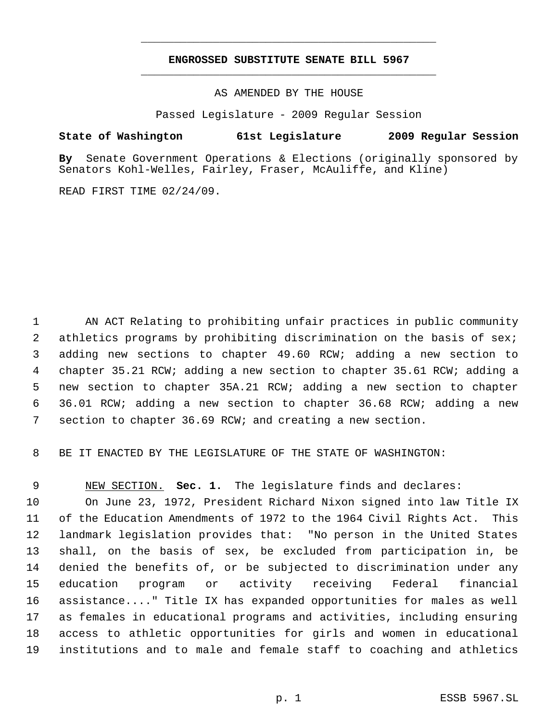## **ENGROSSED SUBSTITUTE SENATE BILL 5967** \_\_\_\_\_\_\_\_\_\_\_\_\_\_\_\_\_\_\_\_\_\_\_\_\_\_\_\_\_\_\_\_\_\_\_\_\_\_\_\_\_\_\_\_\_

\_\_\_\_\_\_\_\_\_\_\_\_\_\_\_\_\_\_\_\_\_\_\_\_\_\_\_\_\_\_\_\_\_\_\_\_\_\_\_\_\_\_\_\_\_

AS AMENDED BY THE HOUSE

Passed Legislature - 2009 Regular Session

## **State of Washington 61st Legislature 2009 Regular Session**

**By** Senate Government Operations & Elections (originally sponsored by Senators Kohl-Welles, Fairley, Fraser, McAuliffe, and Kline)

READ FIRST TIME 02/24/09.

 AN ACT Relating to prohibiting unfair practices in public community athletics programs by prohibiting discrimination on the basis of sex; adding new sections to chapter 49.60 RCW; adding a new section to chapter 35.21 RCW; adding a new section to chapter 35.61 RCW; adding a new section to chapter 35A.21 RCW; adding a new section to chapter 36.01 RCW; adding a new section to chapter 36.68 RCW; adding a new section to chapter 36.69 RCW; and creating a new section.

BE IT ENACTED BY THE LEGISLATURE OF THE STATE OF WASHINGTON:

NEW SECTION. **Sec. 1.** The legislature finds and declares:

 On June 23, 1972, President Richard Nixon signed into law Title IX of the Education Amendments of 1972 to the 1964 Civil Rights Act. This landmark legislation provides that: "No person in the United States shall, on the basis of sex, be excluded from participation in, be denied the benefits of, or be subjected to discrimination under any education program or activity receiving Federal financial assistance...." Title IX has expanded opportunities for males as well as females in educational programs and activities, including ensuring access to athletic opportunities for girls and women in educational institutions and to male and female staff to coaching and athletics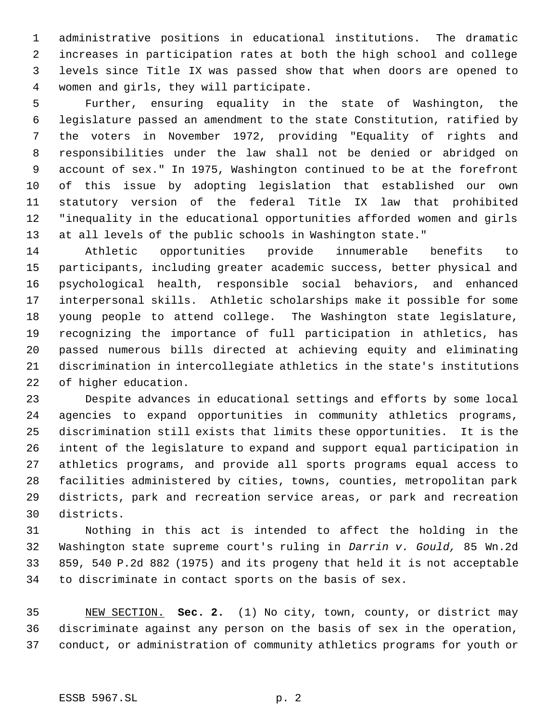administrative positions in educational institutions. The dramatic increases in participation rates at both the high school and college levels since Title IX was passed show that when doors are opened to women and girls, they will participate.

 Further, ensuring equality in the state of Washington, the legislature passed an amendment to the state Constitution, ratified by the voters in November 1972, providing "Equality of rights and responsibilities under the law shall not be denied or abridged on account of sex." In 1975, Washington continued to be at the forefront of this issue by adopting legislation that established our own statutory version of the federal Title IX law that prohibited "inequality in the educational opportunities afforded women and girls at all levels of the public schools in Washington state."

 Athletic opportunities provide innumerable benefits to participants, including greater academic success, better physical and psychological health, responsible social behaviors, and enhanced interpersonal skills. Athletic scholarships make it possible for some young people to attend college. The Washington state legislature, recognizing the importance of full participation in athletics, has passed numerous bills directed at achieving equity and eliminating discrimination in intercollegiate athletics in the state's institutions of higher education.

 Despite advances in educational settings and efforts by some local agencies to expand opportunities in community athletics programs, discrimination still exists that limits these opportunities. It is the intent of the legislature to expand and support equal participation in athletics programs, and provide all sports programs equal access to facilities administered by cities, towns, counties, metropolitan park districts, park and recreation service areas, or park and recreation districts.

 Nothing in this act is intended to affect the holding in the Washington state supreme court's ruling in *Darrin v. Gould,* 85 Wn.2d 859, 540 P.2d 882 (1975) and its progeny that held it is not acceptable to discriminate in contact sports on the basis of sex.

 NEW SECTION. **Sec. 2.** (1) No city, town, county, or district may discriminate against any person on the basis of sex in the operation, conduct, or administration of community athletics programs for youth or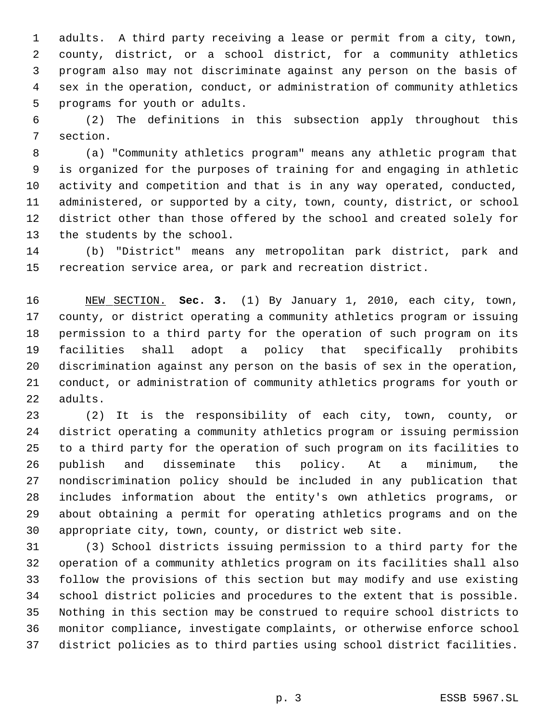adults. A third party receiving a lease or permit from a city, town, county, district, or a school district, for a community athletics program also may not discriminate against any person on the basis of sex in the operation, conduct, or administration of community athletics programs for youth or adults.

 (2) The definitions in this subsection apply throughout this section.

 (a) "Community athletics program" means any athletic program that is organized for the purposes of training for and engaging in athletic activity and competition and that is in any way operated, conducted, administered, or supported by a city, town, county, district, or school district other than those offered by the school and created solely for the students by the school.

 (b) "District" means any metropolitan park district, park and recreation service area, or park and recreation district.

 NEW SECTION. **Sec. 3.** (1) By January 1, 2010, each city, town, county, or district operating a community athletics program or issuing permission to a third party for the operation of such program on its facilities shall adopt a policy that specifically prohibits discrimination against any person on the basis of sex in the operation, conduct, or administration of community athletics programs for youth or adults.

 (2) It is the responsibility of each city, town, county, or district operating a community athletics program or issuing permission to a third party for the operation of such program on its facilities to publish and disseminate this policy. At a minimum, the nondiscrimination policy should be included in any publication that includes information about the entity's own athletics programs, or about obtaining a permit for operating athletics programs and on the appropriate city, town, county, or district web site.

 (3) School districts issuing permission to a third party for the operation of a community athletics program on its facilities shall also follow the provisions of this section but may modify and use existing school district policies and procedures to the extent that is possible. Nothing in this section may be construed to require school districts to monitor compliance, investigate complaints, or otherwise enforce school district policies as to third parties using school district facilities.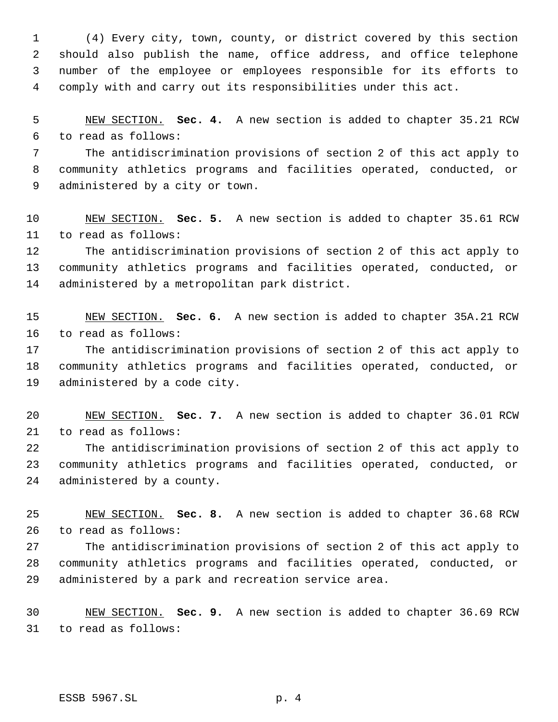(4) Every city, town, county, or district covered by this section should also publish the name, office address, and office telephone number of the employee or employees responsible for its efforts to comply with and carry out its responsibilities under this act.

 NEW SECTION. **Sec. 4.** A new section is added to chapter 35.21 RCW to read as follows:

 The antidiscrimination provisions of section 2 of this act apply to community athletics programs and facilities operated, conducted, or administered by a city or town.

 NEW SECTION. **Sec. 5.** A new section is added to chapter 35.61 RCW to read as follows:

 The antidiscrimination provisions of section 2 of this act apply to community athletics programs and facilities operated, conducted, or administered by a metropolitan park district.

 NEW SECTION. **Sec. 6.** A new section is added to chapter 35A.21 RCW to read as follows:

 The antidiscrimination provisions of section 2 of this act apply to community athletics programs and facilities operated, conducted, or administered by a code city.

 NEW SECTION. **Sec. 7.** A new section is added to chapter 36.01 RCW to read as follows:

 The antidiscrimination provisions of section 2 of this act apply to community athletics programs and facilities operated, conducted, or administered by a county.

 NEW SECTION. **Sec. 8.** A new section is added to chapter 36.68 RCW to read as follows:

 The antidiscrimination provisions of section 2 of this act apply to community athletics programs and facilities operated, conducted, or administered by a park and recreation service area.

 NEW SECTION. **Sec. 9.** A new section is added to chapter 36.69 RCW to read as follows: